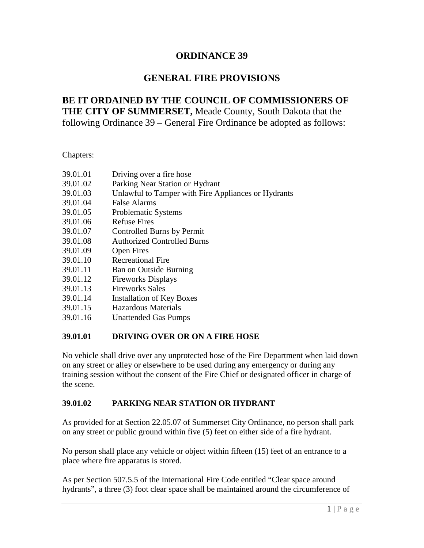# **ORDINANCE 39**

# **GENERAL FIRE PROVISIONS**

# **BE IT ORDAINED BY THE COUNCIL OF COMMISSIONERS OF THE CITY OF SUMMERSET,** Meade County, South Dakota that the following Ordinance 39 – General Fire Ordinance be adopted as follows:

Chapters:

| 39.01.01 | Driving over a fire hose                            |
|----------|-----------------------------------------------------|
| 39.01.02 | Parking Near Station or Hydrant                     |
| 39.01.03 | Unlawful to Tamper with Fire Appliances or Hydrants |
| 39.01.04 | False Alarms                                        |
| 39.01.05 | <b>Problematic Systems</b>                          |
| 39.01.06 | <b>Refuse Fires</b>                                 |
| 39.01.07 | Controlled Burns by Permit                          |
| 39.01.08 | <b>Authorized Controlled Burns</b>                  |
| 39.01.09 | <b>Open Fires</b>                                   |
| 39.01.10 | <b>Recreational Fire</b>                            |
| 39.01.11 | <b>Ban on Outside Burning</b>                       |
| 39.01.12 | <b>Fireworks Displays</b>                           |
| 39.01.13 | <b>Fireworks Sales</b>                              |
| 39.01.14 | <b>Installation of Key Boxes</b>                    |
| 39.01.15 | Hazardous Materials                                 |
| 39.01.16 | <b>Unattended Gas Pumps</b>                         |

#### **39.01.01 DRIVING OVER OR ON A FIRE HOSE**

No vehicle shall drive over any unprotected hose of the Fire Department when laid down on any street or alley or elsewhere to be used during any emergency or during any training session without the consent of the Fire Chief or designated officer in charge of the scene.

### **39.01.02 PARKING NEAR STATION OR HYDRANT**

As provided for at Section 22.05.07 of Summerset City Ordinance, no person shall park on any street or public ground within five (5) feet on either side of a fire hydrant.

No person shall place any vehicle or object within fifteen (15) feet of an entrance to a place where fire apparatus is stored.

As per Section 507.5.5 of the International Fire Code entitled "Clear space around hydrants", a three (3) foot clear space shall be maintained around the circumference of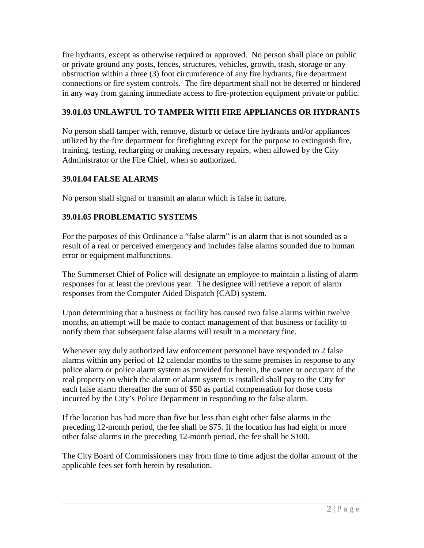fire hydrants, except as otherwise required or approved. No person shall place on public or private ground any posts, fences, structures, vehicles, growth, trash, storage or any obstruction within a three (3) foot circumference of any fire hydrants, fire department connections or fire system controls. The fire department shall not be deterred or hindered in any way from gaining immediate access to fire-protection equipment private or public.

## **39.01.03 UNLAWFUL TO TAMPER WITH FIRE APPLIANCES OR HYDRANTS**

No person shall tamper with, remove, disturb or deface fire hydrants and/or appliances utilized by the fire department for firefighting except for the purpose to extinguish fire, training, testing, recharging or making necessary repairs, when allowed by the City Administrator or the Fire Chief, when so authorized.

# **39.01.04 FALSE ALARMS**

No person shall signal or transmit an alarm which is false in nature.

# **39.01.05 PROBLEMATIC SYSTEMS**

For the purposes of this Ordinance a "false alarm" is an alarm that is not sounded as a result of a real or perceived emergency and includes false alarms sounded due to human error or equipment malfunctions.

The Summerset Chief of Police will designate an employee to maintain a listing of alarm responses for at least the previous year. The designee will retrieve a report of alarm responses from the Computer Aided Dispatch (CAD) system.

Upon determining that a business or facility has caused two false alarms within twelve months, an attempt will be made to contact management of that business or facility to notify them that subsequent false alarms will result in a monetary fine.

Whenever any duly authorized law enforcement personnel have responded to 2 false alarms within any period of 12 calendar months to the same premises in response to any police alarm or police alarm system as provided for herein, the owner or occupant of the real property on which the alarm or alarm system is installed shall pay to the City for each false alarm thereafter the sum of \$50 as partial compensation for those costs incurred by the City's Police Department in responding to the false alarm.

If the location has had more than five but less than eight other false alarms in the preceding 12-month period, the fee shall be \$75. If the location has had eight or more other false alarms in the preceding 12-month period, the fee shall be \$100.

The City Board of Commissioners may from time to time adjust the dollar amount of the applicable fees set forth herein by resolution.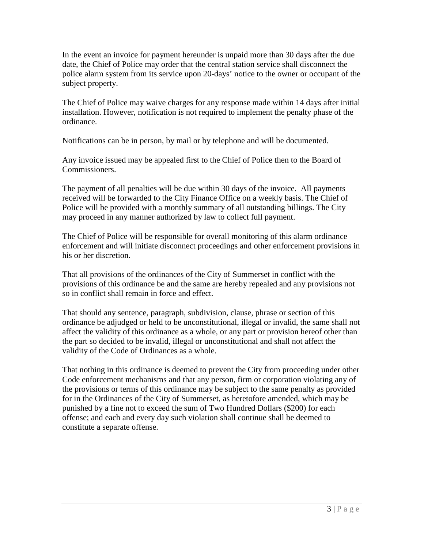In the event an invoice for payment hereunder is unpaid more than 30 days after the due date, the Chief of Police may order that the central station service shall disconnect the police alarm system from its service upon 20-days' notice to the owner or occupant of the subject property.

The Chief of Police may waive charges for any response made within 14 days after initial installation. However, notification is not required to implement the penalty phase of the ordinance.

Notifications can be in person, by mail or by telephone and will be documented.

Any invoice issued may be appealed first to the Chief of Police then to the Board of Commissioners.

The payment of all penalties will be due within 30 days of the invoice. All payments received will be forwarded to the City Finance Office on a weekly basis. The Chief of Police will be provided with a monthly summary of all outstanding billings. The City may proceed in any manner authorized by law to collect full payment.

The Chief of Police will be responsible for overall monitoring of this alarm ordinance enforcement and will initiate disconnect proceedings and other enforcement provisions in his or her discretion.

That all provisions of the ordinances of the City of Summerset in conflict with the provisions of this ordinance be and the same are hereby repealed and any provisions not so in conflict shall remain in force and effect.

That should any sentence, paragraph, subdivision, clause, phrase or section of this ordinance be adjudged or held to be unconstitutional, illegal or invalid, the same shall not affect the validity of this ordinance as a whole, or any part or provision hereof other than the part so decided to be invalid, illegal or unconstitutional and shall not affect the validity of the Code of Ordinances as a whole.

That nothing in this ordinance is deemed to prevent the City from proceeding under other Code enforcement mechanisms and that any person, firm or corporation violating any of the provisions or terms of this ordinance may be subject to the same penalty as provided for in the Ordinances of the City of Summerset, as heretofore amended, which may be punished by a fine not to exceed the sum of Two Hundred Dollars (\$200) for each offense; and each and every day such violation shall continue shall be deemed to constitute a separate offense.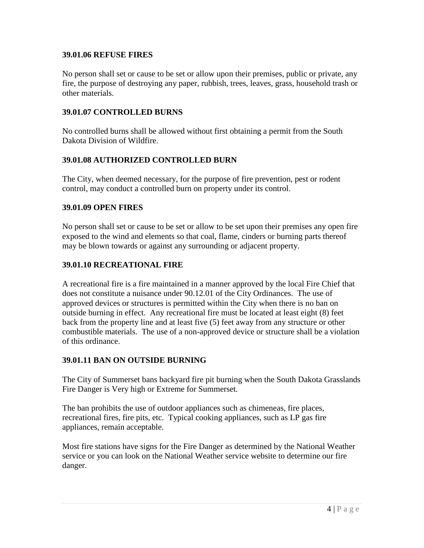#### **39.01.06 REFUSE FIRES**

No person shall set or cause to be set or allow upon their premises, public or private, any fire, the purpose of destroying any paper, rubbish, trees, leaves, grass, household trash or other materials.

#### **39.01.07 CONTROLLED BURNS**

No controlled burns shall be allowed without first obtaining a permit from the South Dakota Division of Wildfire.

#### **39.01.08 AUTHORIZED CONTROLLED BURN**

The City, when deemed necessary, for the purpose of fire prevention, pest or rodent control, may conduct a controlled burn on property under its control.

#### **39.01.09 OPEN FIRES**

No person shall set or cause to be set or allow to be set upon their premises any open fire exposed to the wind and elements so that coal, flame, cinders or burning parts thereof may be blown towards or against any surrounding or adjacent property.

#### **39.01.10 RECREATIONAL FIRE**

A recreational fire is a fire maintained in a manner approved by the local Fire Chief that does not constitute a nuisance under 90.12.01 of the City Ordinances. The use of approved devices or structures is permitted within the City when there is no ban on outside burning in effect. Any recreational fire must be located at least eight (8) feet back from the property line and at least five (5) feet away from any structure or other combustible materials. The use of a non-approved device or structure shall be a violation of this ordinance.

#### **39.01.11 BAN ON OUTSIDE BURNING**

The City of Summerset bans backyard fire pit burning when the South Dakota Grasslands Fire Danger is Very high or Extreme for Summerset.

The ban prohibits the use of outdoor appliances such as chimeneas, fire places, recreational fires, fire pits, etc. Typical cooking appliances, such as LP gas fire appliances, remain acceptable.

Most fire stations have signs for the Fire Danger as determined by the National Weather service or you can look on the National Weather service website to determine our fire danger.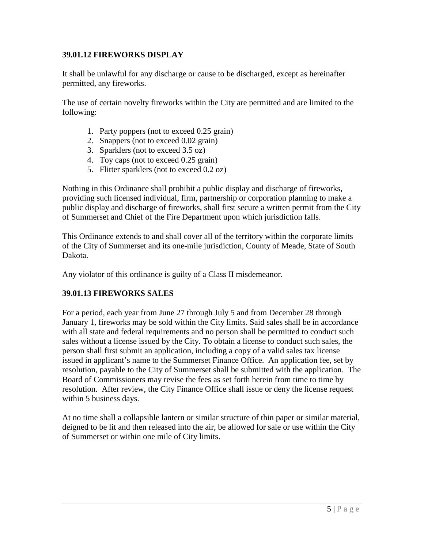#### **39.01.12 FIREWORKS DISPLAY**

It shall be unlawful for any discharge or cause to be discharged, except as hereinafter permitted, any fireworks.

The use of certain novelty fireworks within the City are permitted and are limited to the following:

- 1. Party poppers (not to exceed 0.25 grain)
- 2. Snappers (not to exceed 0.02 grain)
- 3. Sparklers (not to exceed 3.5 oz)
- 4. Toy caps (not to exceed 0.25 grain)
- 5. Flitter sparklers (not to exceed 0.2 oz)

Nothing in this Ordinance shall prohibit a public display and discharge of fireworks, providing such licensed individual, firm, partnership or corporation planning to make a public display and discharge of fireworks, shall first secure a written permit from the City of Summerset and Chief of the Fire Department upon which jurisdiction falls.

This Ordinance extends to and shall cover all of the territory within the corporate limits of the City of Summerset and its one-mile jurisdiction, County of Meade, State of South Dakota.

Any violator of this ordinance is guilty of a Class II misdemeanor.

### **39.01.13 FIREWORKS SALES**

For a period, each year from June 27 through July 5 and from December 28 through January 1, fireworks may be sold within the City limits. Said sales shall be in accordance with all state and federal requirements and no person shall be permitted to conduct such sales without a license issued by the City. To obtain a license to conduct such sales, the person shall first submit an application, including a copy of a valid sales tax license issued in applicant's name to the Summerset Finance Office. An application fee, set by resolution, payable to the City of Summerset shall be submitted with the application. The Board of Commissioners may revise the fees as set forth herein from time to time by resolution. After review, the City Finance Office shall issue or deny the license request within 5 business days.

At no time shall a collapsible lantern or similar structure of thin paper or similar material, deigned to be lit and then released into the air, be allowed for sale or use within the City of Summerset or within one mile of City limits.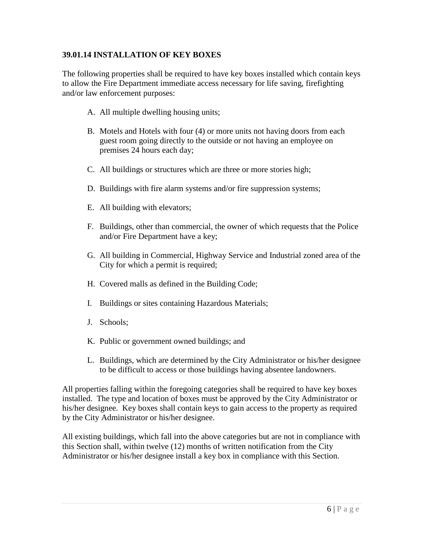#### **39.01.14 INSTALLATION OF KEY BOXES**

The following properties shall be required to have key boxes installed which contain keys to allow the Fire Department immediate access necessary for life saving, firefighting and/or law enforcement purposes:

- A. All multiple dwelling housing units;
- B. Motels and Hotels with four (4) or more units not having doors from each guest room going directly to the outside or not having an employee on premises 24 hours each day;
- C. All buildings or structures which are three or more stories high;
- D. Buildings with fire alarm systems and/or fire suppression systems;
- E. All building with elevators;
- F. Buildings, other than commercial, the owner of which requests that the Police and/or Fire Department have a key;
- G. All building in Commercial, Highway Service and Industrial zoned area of the City for which a permit is required;
- H. Covered malls as defined in the Building Code;
- I. Buildings or sites containing Hazardous Materials;
- J. Schools;
- K. Public or government owned buildings; and
- L. Buildings, which are determined by the City Administrator or his/her designee to be difficult to access or those buildings having absentee landowners.

All properties falling within the foregoing categories shall be required to have key boxes installed. The type and location of boxes must be approved by the City Administrator or his/her designee. Key boxes shall contain keys to gain access to the property as required by the City Administrator or his/her designee.

All existing buildings, which fall into the above categories but are not in compliance with this Section shall, within twelve (12) months of written notification from the City Administrator or his/her designee install a key box in compliance with this Section.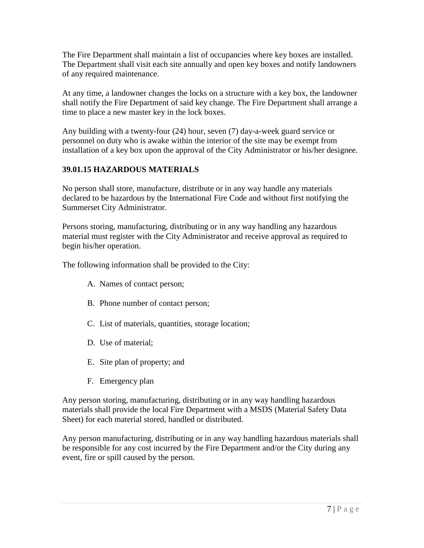The Fire Department shall maintain a list of occupancies where key boxes are installed. The Department shall visit each site annually and open key boxes and notify landowners of any required maintenance.

At any time, a landowner changes the locks on a structure with a key box, the landowner shall notify the Fire Department of said key change. The Fire Department shall arrange a time to place a new master key in the lock boxes.

Any building with a twenty-four (24) hour, seven (7) day-a-week guard service or personnel on duty who is awake within the interior of the site may be exempt from installation of a key box upon the approval of the City Administrator or his/her designee.

# **39.01.15 HAZARDOUS MATERIALS**

No person shall store, manufacture, distribute or in any way handle any materials declared to be hazardous by the International Fire Code and without first notifying the Summerset City Administrator.

Persons storing, manufacturing, distributing or in any way handling any hazardous material must register with the City Administrator and receive approval as required to begin his/her operation.

The following information shall be provided to the City:

- A. Names of contact person;
- B. Phone number of contact person;
- C. List of materials, quantities, storage location;
- D. Use of material;
- E. Site plan of property; and
- F. Emergency plan

Any person storing, manufacturing, distributing or in any way handling hazardous materials shall provide the local Fire Department with a MSDS (Material Safety Data Sheet) for each material stored, handled or distributed.

Any person manufacturing, distributing or in any way handling hazardous materials shall be responsible for any cost incurred by the Fire Department and/or the City during any event, fire or spill caused by the person.